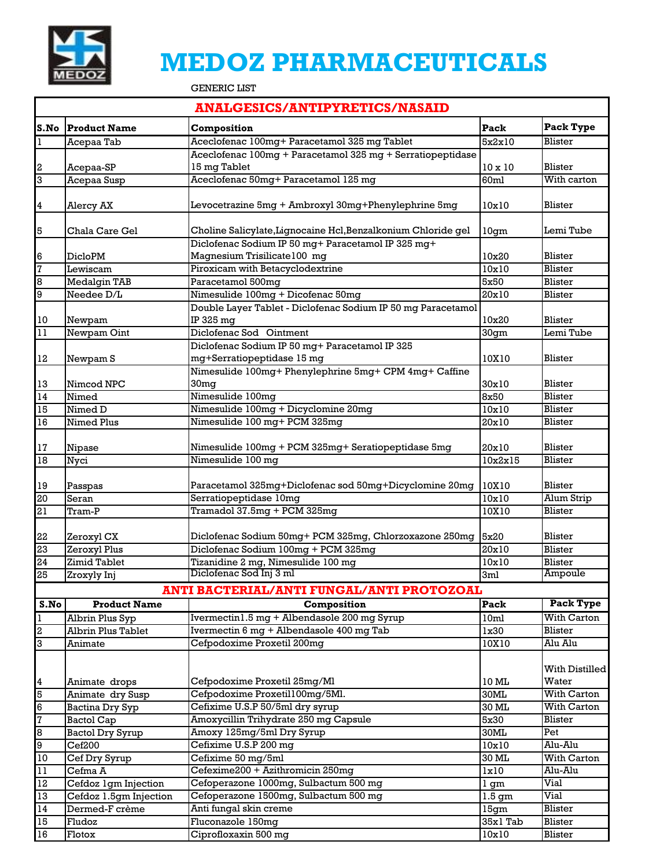

## **MEDOZ PHARMACEUTICALS**

GENERIC LIST

|                                                                      | <b>ANALGESICS/ANTIPYRETICS/NASAID</b>          |                                                                              |                             |                    |  |  |  |  |  |
|----------------------------------------------------------------------|------------------------------------------------|------------------------------------------------------------------------------|-----------------------------|--------------------|--|--|--|--|--|
|                                                                      | S.No Product Name                              | Composition                                                                  | Pack                        | Pack Type          |  |  |  |  |  |
| $\overline{1}$                                                       | Acepaa Tab                                     | Aceclofenac 100mg+ Paracetamol 325 mg Tablet                                 | 5x2x10                      | Blister            |  |  |  |  |  |
|                                                                      |                                                | Aceclofenac 100mg + Paracetamol 325 mg + Serratiopeptidase                   |                             |                    |  |  |  |  |  |
| $\boldsymbol{2}$                                                     | Acepaa-SP                                      | 15 mg Tablet                                                                 | $10 \times 10$              | Blister            |  |  |  |  |  |
| $\overline{3}$                                                       | Acepaa Susp                                    | Aceclofenac 50mg+ Paracetamol 125 mg                                         | 60ml                        | With carton        |  |  |  |  |  |
| $\overline{\mathbf{4}}$                                              | Alercy AX                                      | Levocetrazine 5mg + Ambroxyl 30mg+Phenylephrine 5mg                          | 10x10                       | Blister            |  |  |  |  |  |
| $\overline{5}$                                                       | Chala Care Gel                                 | Choline Salicylate, Lignocaine Hcl, Benzalkonium Chloride gel                | 10gm                        | Lemi Tube          |  |  |  |  |  |
|                                                                      |                                                | Diclofenac Sodium IP 50 mg+ Paracetamol IP 325 mg+                           |                             |                    |  |  |  |  |  |
|                                                                      | <b>DicloPM</b>                                 | Magnesium Trisilicate100 mg                                                  | 10x20                       | Blister            |  |  |  |  |  |
| $\begin{array}{c c} 6 & 7 \\ \hline 7 & 8 \\ \hline 9 & \end{array}$ | Lewiscam                                       | Piroxicam with Betacyclodextrine                                             | 10x10                       | <b>Blister</b>     |  |  |  |  |  |
|                                                                      | <b>Medalgin TAB</b>                            | Paracetamol 500mg                                                            | 5x50                        | Blister            |  |  |  |  |  |
|                                                                      | Needee D/L                                     | Nimesulide 100mg + Dicofenac 50mg                                            | 20x10                       | Blister            |  |  |  |  |  |
|                                                                      |                                                | Double Layer Tablet - Diclofenac Sodium IP 50 mg Paracetamol                 |                             | Blister            |  |  |  |  |  |
| 10                                                                   | Newpam                                         | IP 325 mg<br>Diclofenac Sod Ointment                                         | 10x20                       |                    |  |  |  |  |  |
| $11\,$                                                               | Newpam Oint                                    |                                                                              | 30gm                        | Lemi Tube          |  |  |  |  |  |
|                                                                      |                                                | Diclofenac Sodium IP 50 mg+ Paracetamol IP 325<br>mg+Serratiopeptidase 15 mg |                             | Blister            |  |  |  |  |  |
| 12                                                                   | Newpam <sub>S</sub>                            | Nimesulide 100mg+ Phenylephrine 5mg+ CPM 4mg+ Caffine                        | 10X10                       |                    |  |  |  |  |  |
|                                                                      | Nimcod NPC                                     | 30mg                                                                         | 30x10                       | Blister            |  |  |  |  |  |
| $\frac{13}{14}$                                                      | Nimed                                          | Nimesulide 100mg                                                             | 8x50                        | <b>Blister</b>     |  |  |  |  |  |
| 15                                                                   | Nimed D                                        | Nimesulide 100mg + Dicyclomine 20mg                                          | 10x10                       | Blister            |  |  |  |  |  |
| 16                                                                   | Nimed Plus                                     | Nimesulide 100 mg+ PCM 325mg                                                 | 20x10                       | Blister            |  |  |  |  |  |
|                                                                      |                                                |                                                                              |                             |                    |  |  |  |  |  |
| 17                                                                   | Nipase                                         | Nimesulide 100mg + PCM 325mg+ Seratiopeptidase 5mg                           | 20x10                       | Blister            |  |  |  |  |  |
| 18                                                                   | Nyci                                           | Nimesulide 100 mg                                                            | 10x2x15                     | Blister            |  |  |  |  |  |
|                                                                      |                                                |                                                                              |                             |                    |  |  |  |  |  |
|                                                                      | Passpas                                        | Paracetamol 325mg+Diclofenac sod 50mg+Dicyclomine 20mg                       | 10X10                       | Blister            |  |  |  |  |  |
| $\frac{19}{20}$                                                      | Seran                                          | Serratiopeptidase 10mg                                                       | 10x10                       | Alum Strip         |  |  |  |  |  |
| $\overline{21}$                                                      | Tram-P                                         | Tramadol 37.5mg + PCM 325mg                                                  | 10X10                       | Blister            |  |  |  |  |  |
|                                                                      |                                                |                                                                              |                             |                    |  |  |  |  |  |
|                                                                      | Zeroxyl CX                                     | Diclofenac Sodium 50mg+ PCM 325mg, Chlorzoxazone 250mg 5x20                  |                             | Blister            |  |  |  |  |  |
|                                                                      | Zeroxyl Plus                                   | Diclofenac Sodium 100mg + PCM 325mg                                          | 20x10                       | <b>Blister</b>     |  |  |  |  |  |
|                                                                      | Zimid Tablet                                   | Tizanidine 2 mg, Nimesulide 100 mg                                           | 10x10                       | <b>Blister</b>     |  |  |  |  |  |
| $\frac{22}{23}$ $\frac{24}{25}$                                      | Zroxyly Inj                                    | Diclofenac Sod Inj 3 ml                                                      | 3ml                         | Ampoule            |  |  |  |  |  |
|                                                                      |                                                | ANTI BACTERIAL/ANTI FUNGAL/ANTI PROTOZOAL                                    |                             |                    |  |  |  |  |  |
| S.No                                                                 | <b>Product Name</b>                            | Composition                                                                  | Pack                        | Pack Type          |  |  |  |  |  |
| $\overline{1}$                                                       | Albrin Plus Syp                                | Ivermectin1.5 mg + Albendasole 200 mg Syrup                                  | 10ml                        | <b>With Carton</b> |  |  |  |  |  |
| $\overline{2}$                                                       | <b>Albrin Plus Tablet</b>                      | Ivermectin 6 mg + Albendasole 400 mg Tab                                     | 1x30                        | Blister            |  |  |  |  |  |
| 3                                                                    |                                                | Cefpodoxime Proxetil 200mq                                                   | 10X10                       | Alu Alu            |  |  |  |  |  |
|                                                                      | Animate                                        |                                                                              |                             |                    |  |  |  |  |  |
|                                                                      |                                                |                                                                              |                             | With Distilled     |  |  |  |  |  |
|                                                                      | Animate drops                                  | Cefpodoxime Proxetil 25mg/Ml                                                 | 10 ML                       | Water              |  |  |  |  |  |
| $\frac{4}{5}$ $\frac{5}{8}$ $\frac{7}{10}$ $\frac{8}{10}$            | Animate dry Susp                               | Cefpodoxime Proxetil100mg/5Ml.                                               | 30ML                        | With Carton        |  |  |  |  |  |
|                                                                      | Bactina Dry Syp                                | Cefixime U.S.P 50/5ml dry syrup                                              | 30 ML                       | With Carton        |  |  |  |  |  |
|                                                                      | Bactol Cap                                     | Amoxycillin Trihydrate 250 mg Capsule                                        | 5x30                        | Blister            |  |  |  |  |  |
|                                                                      | <b>Bactol Dry Syrup</b>                        | Amoxy 125mg/5ml Dry Syrup                                                    | 30ML                        | Pet                |  |  |  |  |  |
|                                                                      | $\overline{\text{C}}$ ef200                    | Cefixime U.S.P 200 mg                                                        | 10x10                       | Alu-Alu            |  |  |  |  |  |
|                                                                      | Cef Dry Syrup                                  | Cefixime 50 mg/5ml                                                           | 30 ML                       | With Carton        |  |  |  |  |  |
| 11                                                                   | Cefma A                                        | Cefexime200 + Azithromicin 250mg                                             | lx10                        | Alu-Alu            |  |  |  |  |  |
| 12                                                                   |                                                | Cefoperazone 1000mg, Sulbactum 500 mg                                        |                             | Vial               |  |  |  |  |  |
| 13                                                                   | Cefdoz 1gm Injection<br>Cefdoz 1.5gm Injection | Cefoperazone 1500mg, Sulbactum 500 mg                                        | 1 gm<br>$\overline{1.5}$ gm | Vial               |  |  |  |  |  |
| 14                                                                   | Dermed-F crème                                 | Anti fungal skin creme                                                       | 15gm                        | Blister            |  |  |  |  |  |
| 15                                                                   | Fludoz                                         | Fluconazole 150mg                                                            | 35x1 Tab                    | Blister            |  |  |  |  |  |
| 16                                                                   | Flotox                                         | Ciprofloxaxin 500 mg                                                         | 10x10                       | Blister            |  |  |  |  |  |
|                                                                      |                                                |                                                                              |                             |                    |  |  |  |  |  |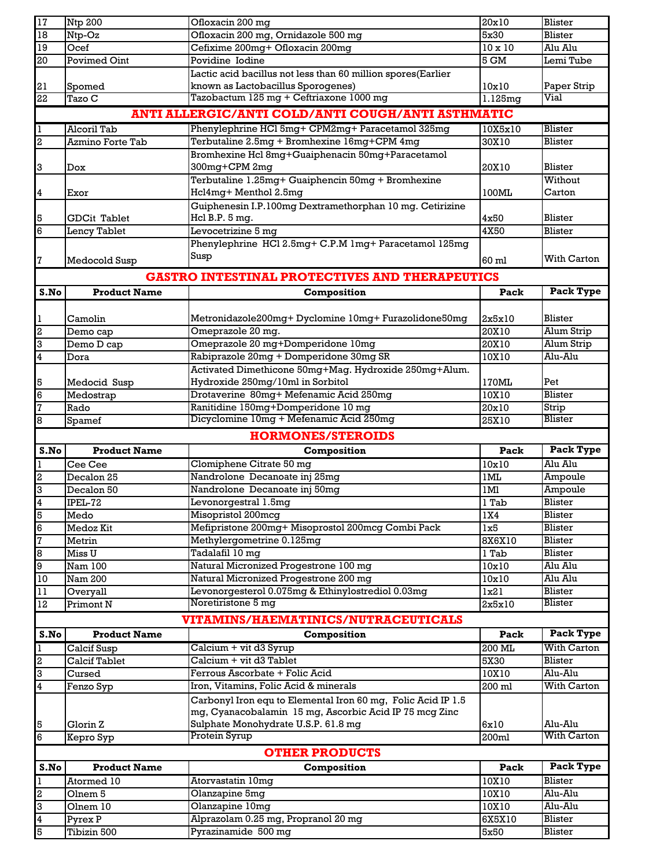| 17                           | <b>Ntp 200</b>                 | Ofloxacin 200 mg                                                        | 20x10          | Blister                         |
|------------------------------|--------------------------------|-------------------------------------------------------------------------|----------------|---------------------------------|
| 18                           | Ntp-Oz                         | Ofloxacin 200 mg, Ornidazole 500 mg                                     | 5x30           | Blister                         |
| $19\,$                       | Ocef                           | Cefixime 200mg+ Ofloxacin 200mg                                         | $10 \times 10$ | Alu Alu                         |
| 20                           | <b>Povimed Oint</b>            | Povidine Iodine                                                         | 5 GM           | Lemi Tube                       |
|                              |                                | Lactic acid bacillus not less than 60 million spores(Earlier            |                |                                 |
| 21                           | Spomed                         | known as Lactobacillus Sporogenes)                                      | 10x10          | Paper Strip                     |
| 22                           | Tazo C                         | Tazobactum 125 mg + Ceftriaxone 1000 mg                                 | 1.125mg        | Vial                            |
|                              |                                | ANTI ALLERGIC/ANTI COLD/ANTI COUGH/ANTI ASTHMATIC                       |                |                                 |
| $\mathbf{1}$                 | Alcoril Tab                    | Phenylephrine HCl 5mg+ CPM2mg+ Paracetamol 325mg                        | 10X5x10        | Blister                         |
| $\overline{2}$               | <b>Azmino Forte Tab</b>        | Terbutaline 2.5mg + Bromhexine 16mg+CPM 4mg                             | 30X10          | <b>Blister</b>                  |
|                              |                                | Bromhexine Hcl 8mg+Guaiphenacin 50mg+Paracetamol                        |                |                                 |
| 3                            | Dox                            | 300mg+CPM 2mg                                                           | 20X10          | Blister                         |
|                              |                                | Terbutaline 1.25mg+ Guaiphencin 50mg + Bromhexine                       |                | Without                         |
| $\overline{\mathbf{4}}$      | Exor                           | Hcl4mg+ Menthol 2.5mg                                                   | 100ML          | Carton                          |
|                              |                                | Guiphenesin I.P.100mg Dextramethorphan 10 mg. Cetirizine                |                |                                 |
| 5                            | <b>GDCit Tablet</b>            | Hcl B.P. $5$ mg.                                                        | 4x50           | Blister                         |
| 6                            | Lency Tablet                   | Levocetrizine 5 mq                                                      | 4X50           | Blister                         |
|                              |                                | Phenylephrine HCl 2.5mg+ C.P.M 1mg+ Paracetamol 125mg                   |                |                                 |
| 7                            | Medocold Susp                  | Susp                                                                    | 60 ml          | With Carton                     |
|                              |                                | <b>GASTRO INTESTINAL PROTECTIVES AND THERAPEUTICS</b>                   |                |                                 |
|                              |                                |                                                                         |                | Pack Type                       |
| S.No                         | <b>Product Name</b>            | Composition                                                             | Pack           |                                 |
|                              | Camolin                        |                                                                         | 2x5x10         | Blister                         |
| 1<br>$\overline{\mathbf{2}}$ | Demo cap                       | Metronidazole200mg+Dyclomine 10mg+Furazolidone50mg<br>Omeprazole 20 mg. | 20X10          | Alum Strip                      |
| 3                            | Demo D cap                     | Omeprazole 20 mg+Domperidone 10mg                                       | 20X10          | Alum Strip                      |
| $\overline{\mathbf{4}}$      | Dora                           | Rabiprazole 20mg + Domperidone 30mg SR                                  | 10X10          | Alu-Alu                         |
|                              |                                | Activated Dimethicone 50mg+Mag. Hydroxide 250mg+Alum.                   |                |                                 |
| 5                            | Medocid Susp                   | Hydroxide 250mg/10ml in Sorbitol                                        | 170ML          | Pet                             |
| 6                            | Medostrap                      | Drotaverine 80mg+ Mefenamic Acid 250mg                                  | 10X10          | Blister                         |
| $\overline{7}$               | Rado                           | Ranitidine 150mg+Domperidone 10 mg                                      | 20x10          | Strip                           |
| 8                            | Spamef                         | Dicyclomine 10mg + Mefenamic Acid 250mg                                 | 25X10          | <b>Blister</b>                  |
|                              |                                |                                                                         |                |                                 |
|                              |                                |                                                                         |                |                                 |
|                              |                                | <b>HORMONES/STEROIDS</b>                                                |                |                                 |
| S.No                         | <b>Product Name</b>            | Composition                                                             | Pack           | Pack Type                       |
| $\mathbf{I}$                 | Cee Cee                        | Clomiphene Citrate 50 mg                                                | 10x10          | Alu Alu                         |
| $\overline{\mathbf{2}}$      | Decalon 25                     | Nandrolone Decanoate inj 25mg                                           | 1ML            | Ampoule                         |
| 3                            | Decalon 50                     | Nandrolone Decanoate inj 50mg                                           | 1Ml            | Ampoule                         |
| $\overline{4}$               | IPEL-72                        | Levonorgestral 1.5mg                                                    | 1 Tab          | Blister                         |
| 5                            | Medo                           | Misopristol 200mcg                                                      | 1X4            | <b>Blister</b>                  |
| $6\overline{6}$              | Medoz Kit                      | Mefipristone 200mg+ Misoprostol 200mcg Combi Pack                       | 1x5            | Blister                         |
| 7                            | Metrin                         | Methylergometrine 0.125mg                                               | 8X6X10         | Blister<br>Blister              |
| $\bf{8}$<br>9                | Miss U<br>Nam 100              | Tadalafil 10 mg<br>Natural Micronized Progestrone 100 mg                | l Tab<br>10x10 | Alu Alu                         |
| 10                           | Nam 200                        | Natural Micronized Progestrone 200 mg                                   | 10x10          | Alu Alu                         |
| 11                           | Overyall                       | Levonorgesterol 0.075mg & Ethinylostrediol 0.03mg                       | 1x21           | Blister                         |
| 12                           | Primont N                      | Noretiristone 5 mg                                                      | 2x5x10         | Blister                         |
|                              |                                |                                                                         |                |                                 |
|                              |                                | <b>VITAMINS/HAEMATINICS/NUTRACEUTICALS</b>                              | Pack           |                                 |
| S.No                         | <b>Product Name</b>            | Composition                                                             |                | Pack Type<br><b>With Carton</b> |
| $\overline{1}$               | Calcif Susp                    | Calcium + vit d3 Syrup<br>Calcium + vit d3 Tablet                       | 200 ML         |                                 |
| $\overline{a}$               | <b>Calcif Tablet</b><br>Cursed | Ferrous Ascorbate + Folic Acid                                          | 5X30<br>10X10  | <b>Blister</b><br>Alu-Alu       |
| c<br>$\overline{\mathbf{4}}$ | Fenzo Syp                      | Iron, Vitamins, Folic Acid & minerals                                   | 200 ml         | With Carton                     |
|                              |                                | Carbonyl Iron equ to Elemental Iron 60 mg, Folic Acid IP 1.5            |                |                                 |
|                              |                                | mg, Cyanacobalamin 15 mg, Ascorbic Acid IP 75 mcg Zinc                  |                |                                 |
| 5                            | Glorin Z                       | Sulphate Monohydrate U.S.P. 61.8 mg                                     | 6x10           | Alu-Alu                         |
| 6                            | Kepro Syp                      | Protein Syrup                                                           | 200ml          | With Carton                     |
|                              |                                | <b>OTHER PRODUCTS</b>                                                   |                |                                 |
| S.No                         | <b>Product Name</b>            | Composition                                                             | Pack           | Pack Type                       |
|                              | Atormed 10                     |                                                                         |                | Blister                         |
| $\mathbf{I}$                 | Olnem <sub>5</sub>             | Atorvastatin 10mg<br>Olanzapine 5mg                                     | 10X10<br>10X10 | Alu-Alu                         |
| $\overline{a}$<br>3          | Olnem 10                       | Olanzapine 10mg                                                         | 10X10          | Alu-Alu                         |
| $\overline{\mathbf{4}}$<br>5 | Pyrex P                        | Alprazolam 0.25 mg, Propranol 20 mg                                     | 6X5X10         | <b>Blister</b><br>Blister       |